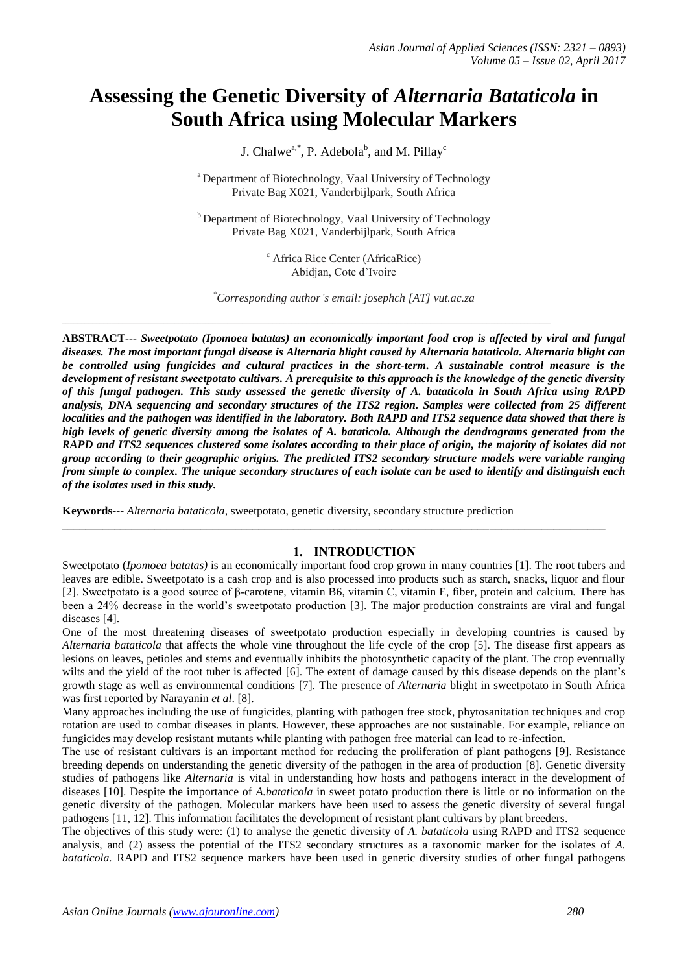# **Assessing the Genetic Diversity of** *Alternaria Bataticola* **in South Africa using Molecular Markers**

J. Chalwe<sup>a,\*</sup>, P. Adebola<sup>b</sup>, and M. Pillay<sup>c</sup>

<sup>a</sup> Department of Biotechnology, Vaal University of Technology Private Bag X021, Vanderbijlpark, South Africa

<sup>b</sup> Department of Biotechnology, Vaal University of Technology Private Bag X021, Vanderbijlpark, South Africa

> <sup>c</sup> Africa Rice Center (AfricaRice) Abidjan, Cote d'Ivoire

*\*Corresponding author's email: josephch [AT] vut.ac.za*

\_\_\_\_\_\_\_\_\_\_\_\_\_\_\_\_\_\_\_\_\_\_\_\_\_\_\_\_\_\_\_\_\_\_\_\_\_\_\_\_\_\_\_\_\_\_\_\_\_\_\_\_\_\_\_\_\_\_\_\_\_\_\_\_\_\_\_\_\_\_\_\_\_\_\_\_\_\_\_\_\_\_\_\_\_\_\_\_\_\_\_\_\_\_\_\_\_\_\_\_\_\_\_\_\_\_\_\_\_\_\_\_\_\_\_\_\_\_\_\_\_\_\_\_\_\_\_\_\_\_

**ABSTRACT---** *Sweetpotato (Ipomoea batatas) an economically important food crop is affected by viral and fungal diseases. The most important fungal disease is Alternaria blight caused by Alternaria bataticola. Alternaria blight can be controlled using fungicides and cultural practices in the short-term. A sustainable control measure is the development of resistant sweetpotato cultivars. A prerequisite to this approach is the knowledge of the genetic diversity of this fungal pathogen. This study assessed the genetic diversity of A. bataticola in South Africa using RAPD analysis, DNA sequencing and secondary structures of the ITS2 region. Samples were collected from 25 different localities and the pathogen was identified in the laboratory. Both RAPD and ITS2 sequence data showed that there is high levels of genetic diversity among the isolates of A. bataticola. Although the dendrograms generated from the RAPD and ITS2 sequences clustered some isolates according to their place of origin, the majority of isolates did not group according to their geographic origins. The predicted ITS2 secondary structure models were variable ranging from simple to complex. The unique secondary structures of each isolate can be used to identify and distinguish each of the isolates used in this study.* 

**Keywords---** *Alternaria bataticola*, sweetpotato, genetic diversity, secondary structure prediction

#### **1. INTRODUCTION**

Sweetpotato (*Ipomoea batatas)* is an economically important food crop grown in many countries [1]. The root tubers and leaves are edible. Sweetpotato is a cash crop and is also processed into products such as starch, snacks, liquor and flour [2]. Sweetpotato is a good source of β-carotene, vitamin B6, vitamin C, vitamin E, fiber, protein and calcium. There has been a 24% decrease in the world's sweetpotato production [3]. The major production constraints are viral and fungal diseases [4].

\_\_\_\_\_\_\_\_\_\_\_\_\_\_\_\_\_\_\_\_\_\_\_\_\_\_\_\_\_\_\_\_\_\_\_\_\_\_\_\_\_\_\_\_\_\_\_\_\_\_\_\_\_\_\_\_\_\_\_\_\_\_\_\_\_\_\_\_\_\_\_\_\_\_\_\_\_\_\_\_\_\_\_\_\_\_\_\_\_\_\_\_\_\_

One of the most threatening diseases of sweetpotato production especially in developing countries is caused by *Alternaria bataticola* that affects the whole vine throughout the life cycle of the crop [5]. The disease first appears as lesions on leaves, petioles and stems and eventually inhibits the photosynthetic capacity of the plant. The crop eventually wilts and the yield of the root tuber is affected [6]. The extent of damage caused by this disease depends on the plant's growth stage as well as environmental conditions [7]. The presence of *Alternaria* blight in sweetpotato in South Africa was first reported by Narayanin *et al*. [8].

Many approaches including the use of fungicides, planting with pathogen free stock, phytosanitation techniques and crop rotation are used to combat diseases in plants. However, these approaches are not sustainable. For example, reliance on fungicides may develop resistant mutants while planting with pathogen free material can lead to re-infection.

The use of resistant cultivars is an important method for reducing the proliferation of plant pathogens [9]. Resistance breeding depends on understanding the genetic diversity of the pathogen in the area of production [8]. Genetic diversity studies of pathogens like *Alternaria* is vital in understanding how hosts and pathogens interact in the development of diseases [10]. Despite the importance of *A.bataticola* in sweet potato production there is little or no information on the genetic diversity of the pathogen. Molecular markers have been used to assess the genetic diversity of several fungal pathogens [11, 12]. This information facilitates the development of resistant plant cultivars by plant breeders.

The objectives of this study were: (1) to analyse the genetic diversity of *A. bataticola* using RAPD and ITS2 sequence analysis, and (2) assess the potential of the ITS2 secondary structures as a taxonomic marker for the isolates of *A. bataticola.* RAPD and ITS2 sequence markers have been used in genetic diversity studies of other fungal pathogens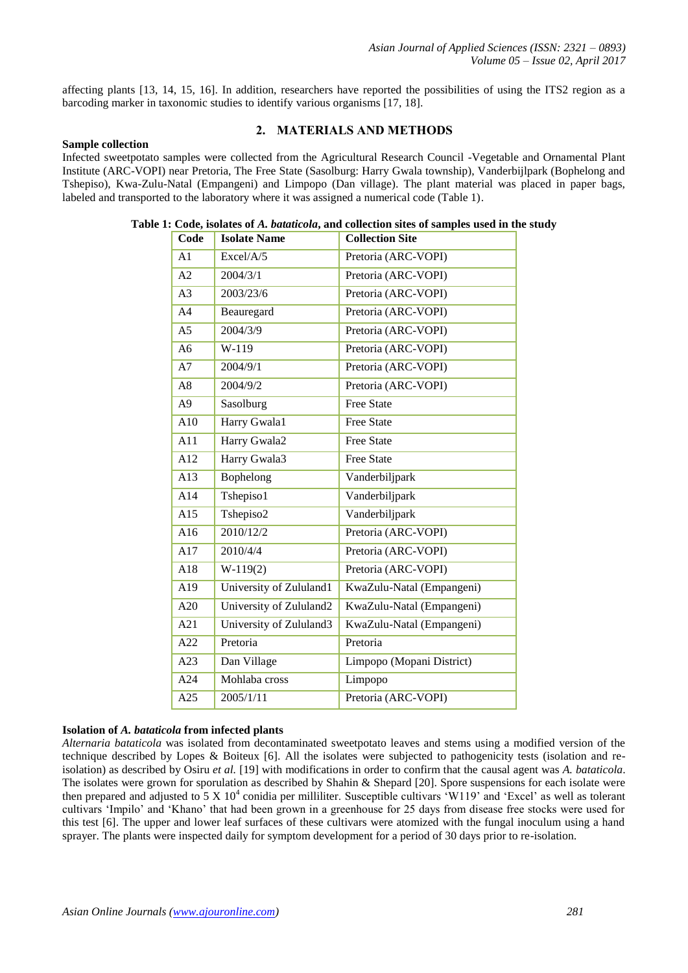affecting plants [13, 14, 15, 16]. In addition, researchers have reported the possibilities of using the ITS2 region as a barcoding marker in taxonomic studies to identify various organisms [17, 18].

#### **2. MATERIALS AND METHODS**

#### **Sample collection**

Infected sweetpotato samples were collected from the Agricultural Research Council -Vegetable and Ornamental Plant Institute (ARC-VOPI) near Pretoria, The Free State (Sasolburg: Harry Gwala township), Vanderbijlpark (Bophelong and Tshepiso), Kwa-Zulu-Natal (Empangeni) and Limpopo (Dan village). The plant material was placed in paper bags, labeled and transported to the laboratory where it was assigned a numerical code (Table 1).

| Code           | <b>Isolate Name</b>     | <b>Collection Site</b>    |
|----------------|-------------------------|---------------------------|
| A1             | Excel/A/5               | Pretoria (ARC-VOPI)       |
| A2             | 2004/3/1                | Pretoria (ARC-VOPI)       |
| A <sub>3</sub> | 2003/23/6               | Pretoria (ARC-VOPI)       |
| A <sub>4</sub> | Beauregard              | Pretoria (ARC-VOPI)       |
| A <sub>5</sub> | 2004/3/9                | Pretoria (ARC-VOPI)       |
| A6             | W-119                   | Pretoria (ARC-VOPI)       |
| A7             | 2004/9/1                | Pretoria (ARC-VOPI)       |
| A <sub>8</sub> | 2004/9/2                | Pretoria (ARC-VOPI)       |
| A <sub>9</sub> | Sasolburg               | <b>Free State</b>         |
| A10            | Harry Gwala1            | <b>Free State</b>         |
| A11            | Harry Gwala2            | <b>Free State</b>         |
| A12            | Harry Gwala3            | <b>Free State</b>         |
| A13            | Bophelong               | Vanderbiljpark            |
| A14            | Tshepiso1               | Vanderbiljpark            |
| A15            | Tshepiso2               | Vanderbiljpark            |
| A16            | 2010/12/2               | Pretoria (ARC-VOPI)       |
| A17            | 2010/4/4                | Pretoria (ARC-VOPI)       |
| A18            | $W-119(2)$              | Pretoria (ARC-VOPI)       |
| A19            | University of Zululand1 | KwaZulu-Natal (Empangeni) |
| A20            | University of Zululand2 | KwaZulu-Natal (Empangeni) |
| A21            | University of Zululand3 | KwaZulu-Natal (Empangeni) |
| A22            | Pretoria                | Pretoria                  |
| A23            | Dan Village             | Limpopo (Mopani District) |
| A24            | Mohlaba cross           | Limpopo                   |
| A25            | 2005/1/11               | Pretoria (ARC-VOPI)       |
|                |                         |                           |

#### **Table 1: Code, isolates of** *A. bataticola***, and collection sites of samples used in the study**

#### **Isolation of** *A. bataticola* **from infected plants**

*Alternaria bataticola* was isolated from decontaminated sweetpotato leaves and stems using a modified version of the technique described by Lopes & Boiteux [6]. All the isolates were subjected to pathogenicity tests (isolation and reisolation) as described by Osiru *et al.* [19] with modifications in order to confirm that the causal agent was *A. bataticola*. The isolates were grown for sporulation as described by Shahin & Shepard [20]. Spore suspensions for each isolate were then prepared and adjusted to  $5 \times 10^4$  conidia per milliliter. Susceptible cultivars  $\cdot$ W119' and  $\cdot$ Excel' as well as tolerant cultivars 'Impilo' and 'Khano' that had been grown in a greenhouse for 25 days from disease free stocks were used for this test [6]. The upper and lower leaf surfaces of these cultivars were atomized with the fungal inoculum using a hand sprayer. The plants were inspected daily for symptom development for a period of 30 days prior to re-isolation.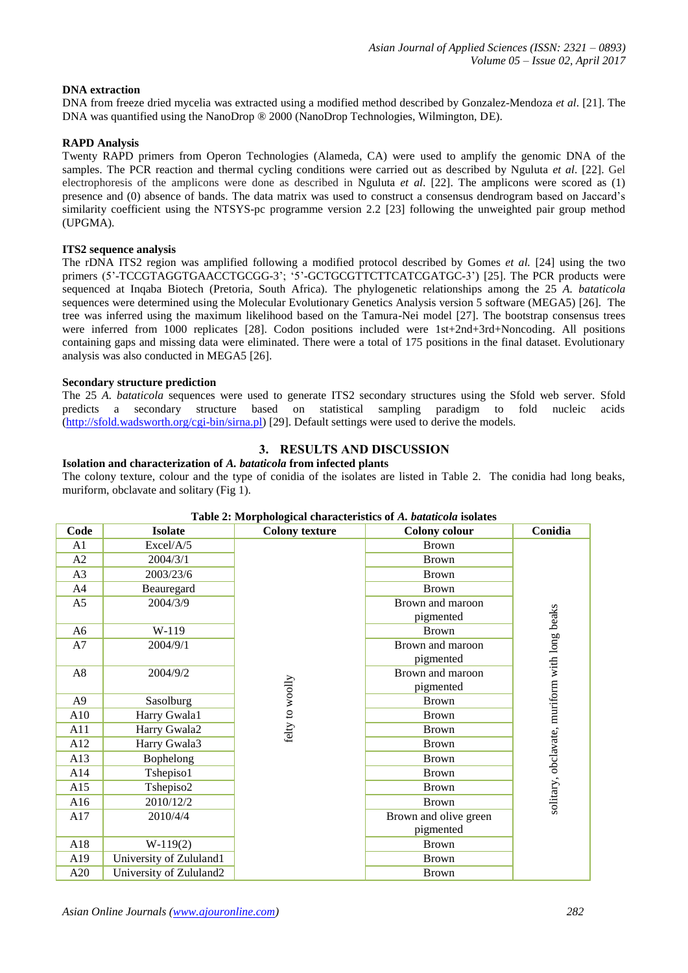#### **DNA extraction**

DNA from freeze dried mycelia was extracted using a modified method described by Gonzalez-Mendoza *et al*. [21]. The DNA was quantified using the NanoDrop ® 2000 (NanoDrop Technologies, Wilmington, DE).

#### **RAPD Analysis**

Twenty RAPD primers from Operon Technologies (Alameda, CA) were used to amplify the genomic DNA of the samples. The PCR reaction and thermal cycling conditions were carried out as described by Nguluta *et al*. [22]. Gel electrophoresis of the amplicons were done as described in Nguluta *et al*. [22]. The amplicons were scored as (1) presence and (0) absence of bands. The data matrix was used to construct a consensus dendrogram based on Jaccard's similarity coefficient using the NTSYS-pc programme version 2.2 [23] following the unweighted pair group method (UPGMA).

#### **ITS2 sequence analysis**

The rDNA ITS2 region was amplified following a modified protocol described by Gomes *et al.* [24] using the two primers (5'-TCCGTAGGTGAACCTGCGG-3'; '5'-GCTGCGTTCTTCATCGATGC-3') [25]. The PCR products were sequenced at Inqaba Biotech (Pretoria, South Africa). The phylogenetic relationships among the 25 *A. bataticola* sequences were determined using the Molecular Evolutionary Genetics Analysis version 5 software (MEGA5) [26]. The tree was inferred using the maximum likelihood based on the Tamura-Nei model [27]. The bootstrap consensus trees were inferred from 1000 replicates [28]. Codon positions included were 1st+2nd+3rd+Noncoding. All positions containing gaps and missing data were eliminated. There were a total of 175 positions in the final dataset. Evolutionary analysis was also conducted in MEGA5 [26].

#### **Secondary structure prediction**

The 25 *A. bataticola* sequences were used to generate ITS2 secondary structures using the Sfold web server. Sfold predicts a secondary structure based on statistical sampling paradigm to fold nucleic acids [\(http://sfold.wadsworth.org/cgi-bin/sirna.pl\)](http://sfold.wadsworth.org/cgi-bin/sirna.pl) [29]. Default settings were used to derive the models.

#### **3. RESULTS AND DISCUSSION**

**Isolation and characterization of** *A. bataticola* **from infected plants** The colony texture, colour and the type of conidia of the isolates are listed in Table 2. The conidia had long beaks, muriform, obclavate and solitary (Fig 1).

| Lable 2. MOI photogical characteristics of A. <i>buttilebiu</i> isolates |                         |                       |                       |                                               |  |  |  |  |  |  |  |  |
|--------------------------------------------------------------------------|-------------------------|-----------------------|-----------------------|-----------------------------------------------|--|--|--|--|--|--|--|--|
| Code                                                                     | <b>Isolate</b>          | <b>Colony texture</b> | <b>Colony colour</b>  | Conidia                                       |  |  |  |  |  |  |  |  |
| A1                                                                       | Excel/A/5               |                       | <b>Brown</b>          |                                               |  |  |  |  |  |  |  |  |
| A2                                                                       | 2004/3/1                |                       | <b>Brown</b>          |                                               |  |  |  |  |  |  |  |  |
| A3                                                                       | 2003/23/6               |                       | <b>Brown</b>          |                                               |  |  |  |  |  |  |  |  |
| A4                                                                       | Beauregard              |                       | <b>Brown</b>          |                                               |  |  |  |  |  |  |  |  |
| A5                                                                       | 2004/3/9                |                       | Brown and maroon      |                                               |  |  |  |  |  |  |  |  |
|                                                                          |                         |                       | pigmented             |                                               |  |  |  |  |  |  |  |  |
| A6                                                                       | W-119                   |                       | <b>Brown</b>          | solitary, obclavate, muriform with long beaks |  |  |  |  |  |  |  |  |
| A7                                                                       | 2004/9/1                |                       | Brown and maroon      |                                               |  |  |  |  |  |  |  |  |
|                                                                          |                         |                       | pigmented             |                                               |  |  |  |  |  |  |  |  |
| A8                                                                       | 2004/9/2                |                       | Brown and maroon      |                                               |  |  |  |  |  |  |  |  |
|                                                                          |                         |                       | pigmented             |                                               |  |  |  |  |  |  |  |  |
| A <sub>9</sub>                                                           | Sasolburg               |                       | <b>Brown</b>          |                                               |  |  |  |  |  |  |  |  |
| A10                                                                      | Harry Gwala1            | felty to woolly       | <b>Brown</b>          |                                               |  |  |  |  |  |  |  |  |
| A11                                                                      | Harry Gwala2            |                       | <b>Brown</b>          |                                               |  |  |  |  |  |  |  |  |
| A12                                                                      | Harry Gwala3            |                       | <b>Brown</b>          |                                               |  |  |  |  |  |  |  |  |
| A13                                                                      | Bophelong               |                       | <b>Brown</b>          |                                               |  |  |  |  |  |  |  |  |
| A14                                                                      | Tshepiso1               |                       | <b>Brown</b>          |                                               |  |  |  |  |  |  |  |  |
| A15                                                                      | Tshepiso2               |                       | <b>Brown</b>          |                                               |  |  |  |  |  |  |  |  |
| A16                                                                      | 2010/12/2               |                       | <b>Brown</b>          |                                               |  |  |  |  |  |  |  |  |
| A17                                                                      | 2010/4/4                |                       | Brown and olive green |                                               |  |  |  |  |  |  |  |  |
|                                                                          |                         |                       | pigmented             |                                               |  |  |  |  |  |  |  |  |
| A18                                                                      | $W-119(2)$              |                       | <b>Brown</b>          |                                               |  |  |  |  |  |  |  |  |
| A19                                                                      | University of Zululand1 |                       | <b>Brown</b>          |                                               |  |  |  |  |  |  |  |  |
| A20                                                                      | University of Zululand2 |                       | <b>Brown</b>          |                                               |  |  |  |  |  |  |  |  |

#### **Table 2: Morphological characteristics of** *A. bataticola* **isolates**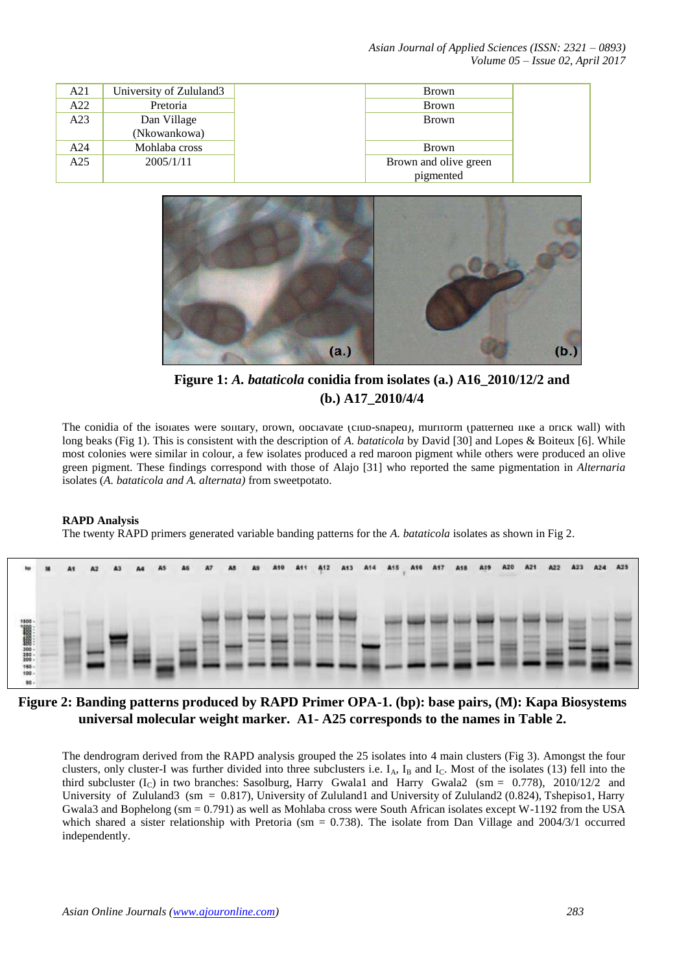*Asian Journal of Applied Sciences (ISSN: 2321 – 0893) Volume 05 – Issue 02, April 2017*

| A21 | University of Zululand3     | <b>Brown</b>          |
|-----|-----------------------------|-----------------------|
| A22 | Pretoria                    | <b>Brown</b>          |
| A23 | Dan Village<br>(Nkowankowa) | <b>Brown</b>          |
| A24 | Mohlaba cross               | <b>Brown</b>          |
| A25 | 2005/1/11                   | Brown and olive green |
|     |                             | pigmented             |



**Figure 1:** *A. bataticola* **conidia from isolates (a.) A16\_2010/12/2 and (b.) A17\_2010/4/4**

The conidia of the isolates were solitary, brown, obclavate (club-shaped), muriform (patterned like a brick wall) with long beaks (Fig 1). This is consistent with the description of *A. bataticola* by David [30] and Lopes & Boiteux [6]. While most colonies were similar in colour, a few isolates produced a red maroon pigment while others were produced an olive green pigment. These findings correspond with those of Alajo [31] who reported the same pigmentation in *Alternaria* isolates (*A. bataticola and A. alternata)* from sweetpotato.

#### **RAPD Analysis**

The twenty RAPD primers generated variable banding patterns for the *A. bataticola* isolates as shown in Fig 2.

| m   | M | A1 | A2 | A3 | A4                       | A5 | <b>A7</b> | A8 | A9 | A <sub>10</sub> | 811 | A <sub>12</sub> | A13 | A <sub>14</sub> | A15 | A16 | A17 | A18 | A19 |  | A23 | A24 | A25 |
|-----|---|----|----|----|--------------------------|----|-----------|----|----|-----------------|-----|-----------------|-----|-----------------|-----|-----|-----|-----|-----|--|-----|-----|-----|
| 80- |   |    |    |    | $\overline{\phantom{a}}$ |    | $-$       |    |    |                 |     |                 |     | MENERATIN       |     |     |     |     |     |  |     |     |     |

## **Figure 2: Banding patterns produced by RAPD Primer OPA-1. (bp): base pairs, (M): Kapa Biosystems universal molecular weight marker. A1- A25 corresponds to the names in Table 2.**

The dendrogram derived from the RAPD analysis grouped the 25 isolates into 4 main clusters (Fig 3). Amongst the four clusters, only cluster-I was further divided into three subclusters i.e. I<sub>A</sub>, I<sub>B</sub> and I<sub>C</sub>. Most of the isolates (13) fell into the third subcluster  $(I_C)$  in two branches: Sasolburg, Harry Gwala1 and Harry Gwala2 (sm = 0.778), 2010/12/2 and University of Zululand3 (sm = 0.817), University of Zululand1 and University of Zululand2 (0.824), Tshepiso1, Harry Gwala3 and Bophelong (sm =  $0.791$ ) as well as Mohlaba cross were South African isolates except W-1192 from the USA which shared a sister relationship with Pretoria (sm  $= 0.738$ ). The isolate from Dan Village and 2004/3/1 occurred independently.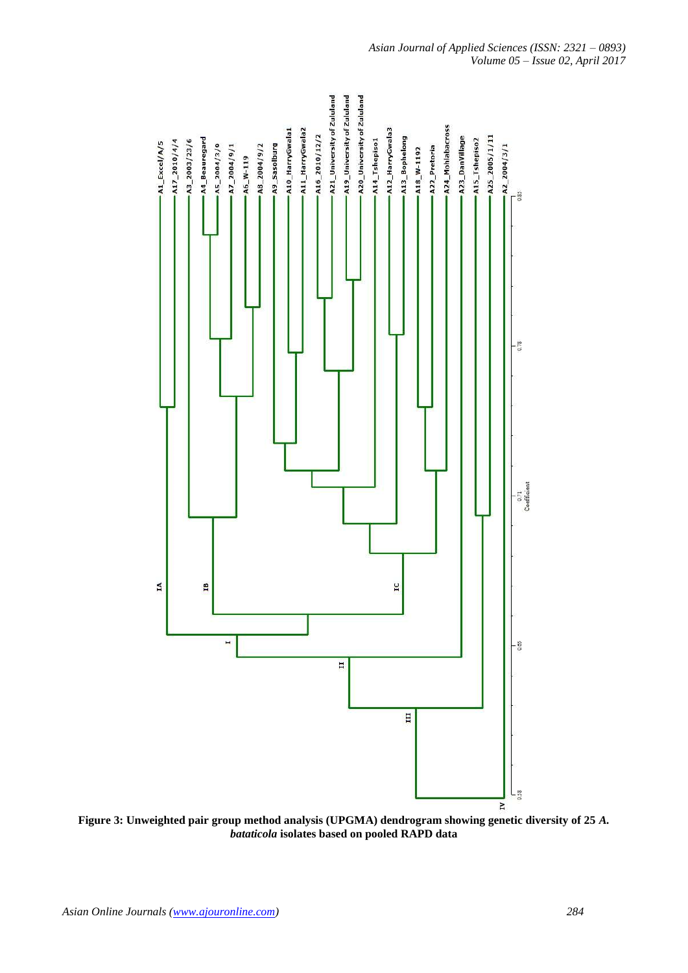

**Figure 3: Unweighted pair group method analysis (UPGMA) dendrogram showing genetic diversity of 25** *A. bataticola* **isolates based on pooled RAPD data**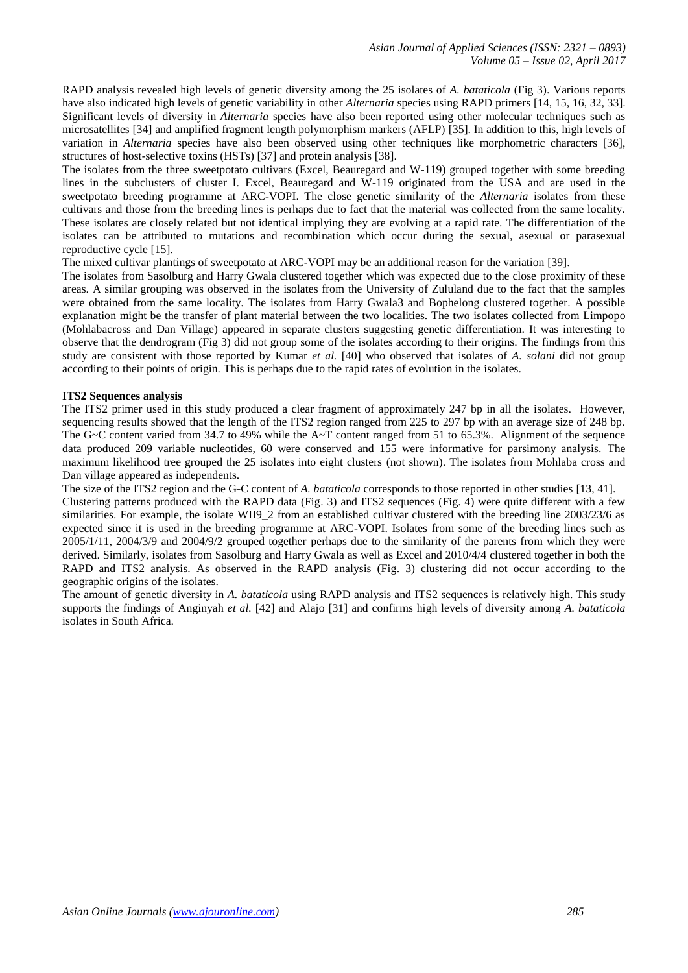RAPD analysis revealed high levels of genetic diversity among the 25 isolates of *A. bataticola* (Fig 3). Various reports have also indicated high levels of genetic variability in other *Alternaria* species using RAPD primers [14, 15, 16, 32, 33]. Significant levels of diversity in *Alternaria* species have also been reported using other molecular techniques such as microsatellites [34] and amplified fragment length polymorphism markers (AFLP) [35]. In addition to this, high levels of variation in *Alternaria* species have also been observed using other techniques like morphometric characters [36], structures of host-selective toxins (HSTs) [37] and protein analysis [38].

The isolates from the three sweetpotato cultivars (Excel, Beauregard and W-119) grouped together with some breeding lines in the subclusters of cluster I. Excel, Beauregard and W-119 originated from the USA and are used in the sweetpotato breeding programme at ARC-VOPI. The close genetic similarity of the *Alternaria* isolates from these cultivars and those from the breeding lines is perhaps due to fact that the material was collected from the same locality. These isolates are closely related but not identical implying they are evolving at a rapid rate. The differentiation of the isolates can be attributed to mutations and recombination which occur during the sexual, asexual or parasexual reproductive cycle [15].

The mixed cultivar plantings of sweetpotato at ARC-VOPI may be an additional reason for the variation [39].

The isolates from Sasolburg and Harry Gwala clustered together which was expected due to the close proximity of these areas. A similar grouping was observed in the isolates from the University of Zululand due to the fact that the samples were obtained from the same locality. The isolates from Harry Gwala3 and Bophelong clustered together. A possible explanation might be the transfer of plant material between the two localities. The two isolates collected from Limpopo (Mohlabacross and Dan Village) appeared in separate clusters suggesting genetic differentiation. It was interesting to observe that the dendrogram (Fig 3) did not group some of the isolates according to their origins. The findings from this study are consistent with those reported by Kumar *et al.* [40] who observed that isolates of *A. solani* did not group according to their points of origin. This is perhaps due to the rapid rates of evolution in the isolates.

#### **ITS2 Sequences analysis**

The ITS2 primer used in this study produced a clear fragment of approximately 247 bp in all the isolates. However, sequencing results showed that the length of the ITS2 region ranged from 225 to 297 bp with an average size of 248 bp. The G~C content varied from 34.7 to 49% while the A~T content ranged from 51 to 65.3%. Alignment of the sequence data produced 209 variable nucleotides, 60 were conserved and 155 were informative for parsimony analysis. The maximum likelihood tree grouped the 25 isolates into eight clusters (not shown). The isolates from Mohlaba cross and Dan village appeared as independents.

The size of the ITS2 region and the G-C content of *A. bataticola* corresponds to those reported in other studies [13, 41]. Clustering patterns produced with the RAPD data (Fig. 3) and ITS2 sequences (Fig. 4) were quite different with a few similarities. For example, the isolate WII9\_2 from an established cultivar clustered with the breeding line 2003/23/6 as expected since it is used in the breeding programme at ARC-VOPI. Isolates from some of the breeding lines such as 2005/1/11, 2004/3/9 and 2004/9/2 grouped together perhaps due to the similarity of the parents from which they were derived. Similarly, isolates from Sasolburg and Harry Gwala as well as Excel and 2010/4/4 clustered together in both the RAPD and ITS2 analysis. As observed in the RAPD analysis (Fig. 3) clustering did not occur according to the geographic origins of the isolates.

The amount of genetic diversity in *A. bataticola* using RAPD analysis and ITS2 sequences is relatively high. This study supports the findings of Anginyah *et al.* [42] and Alajo [31] and confirms high levels of diversity among *A. bataticola* isolates in South Africa.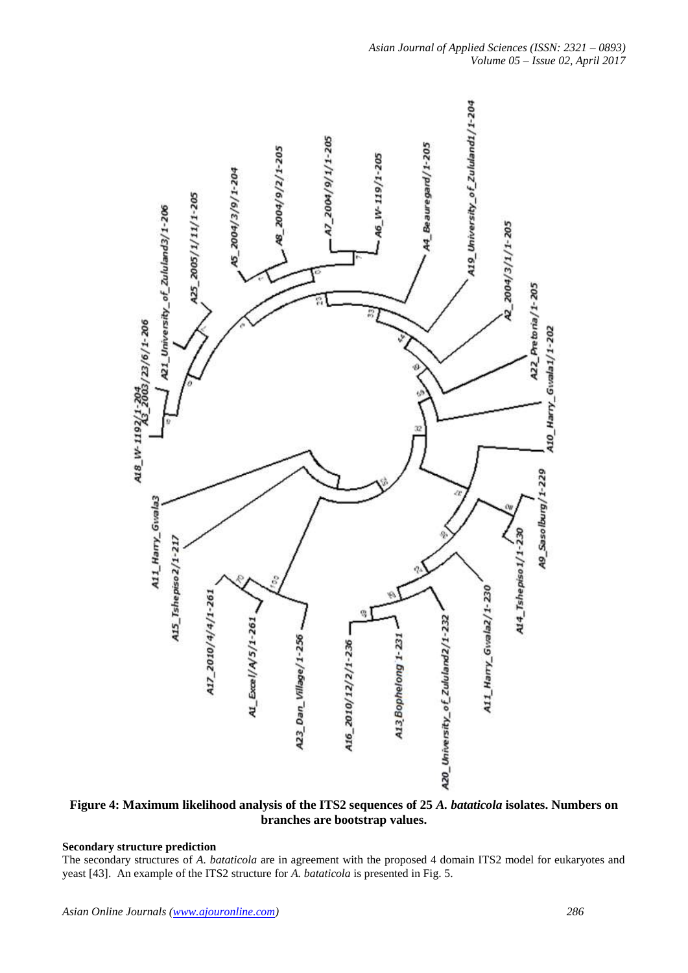

**Figure 4: Maximum likelihood analysis of the ITS2 sequences of 25** *A. bataticola* **isolates. Numbers on branches are bootstrap values.**

## **Secondary structure prediction**

The secondary structures of *A. bataticola* are in agreement with the proposed 4 domain ITS2 model for eukaryotes and yeast [43]. An example of the ITS2 structure for *A. bataticola* is presented in Fig. 5.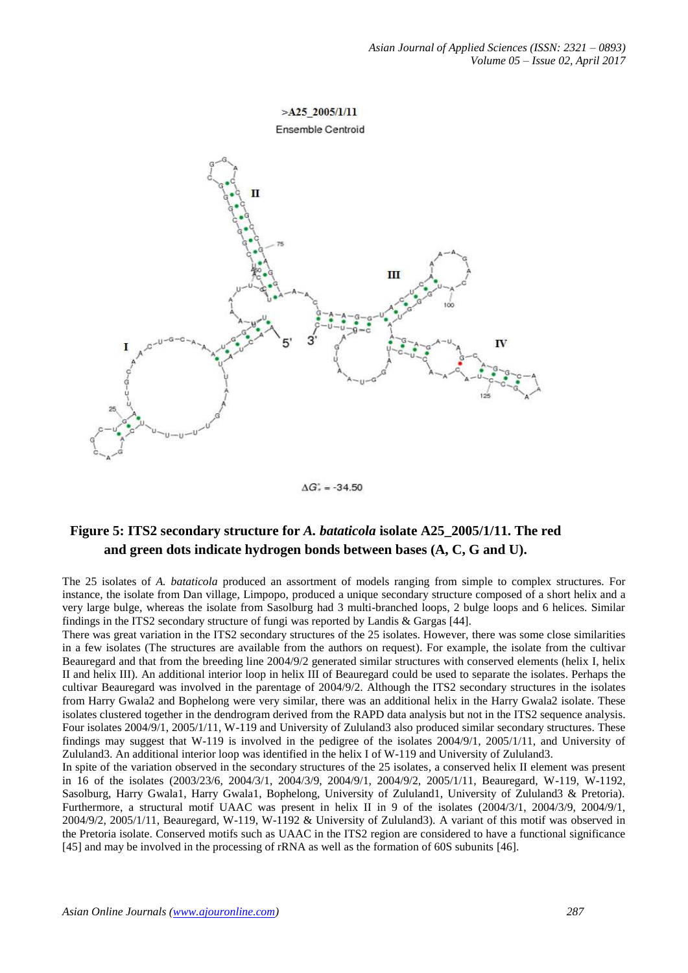## $>$ A25 2005/1/11 Ensemble Centroid



 $\Delta G_{r}^{2} = -34.50$ 

# **Figure 5: ITS2 secondary structure for** *A. bataticola* **isolate A25\_2005/1/11. The red and green dots indicate hydrogen bonds between bases (A, C, G and U).**

The 25 isolates of *A. bataticola* produced an assortment of models ranging from simple to complex structures. For instance, the isolate from Dan village, Limpopo, produced a unique secondary structure composed of a short helix and a very large bulge, whereas the isolate from Sasolburg had 3 multi-branched loops, 2 bulge loops and 6 helices. Similar findings in the ITS2 secondary structure of fungi was reported by Landis & Gargas [44].

There was great variation in the ITS2 secondary structures of the 25 isolates. However, there was some close similarities in a few isolates (The structures are available from the authors on request). For example, the isolate from the cultivar Beauregard and that from the breeding line 2004/9/2 generated similar structures with conserved elements (helix I, helix II and helix III). An additional interior loop in helix III of Beauregard could be used to separate the isolates. Perhaps the cultivar Beauregard was involved in the parentage of 2004/9/2. Although the ITS2 secondary structures in the isolates from Harry Gwala2 and Bophelong were very similar, there was an additional helix in the Harry Gwala2 isolate. These isolates clustered together in the dendrogram derived from the RAPD data analysis but not in the ITS2 sequence analysis. Four isolates 2004/9/1, 2005/1/11, W-119 and University of Zululand3 also produced similar secondary structures. These findings may suggest that W-119 is involved in the pedigree of the isolates 2004/9/1, 2005/1/11, and University of Zululand3. An additional interior loop was identified in the helix I of W-119 and University of Zululand3.

In spite of the variation observed in the secondary structures of the 25 isolates, a conserved helix II element was present in 16 of the isolates (2003/23/6, 2004/3/1, 2004/3/9, 2004/9/1, 2004/9/2, 2005/1/11, Beauregard, W-119, W-1192, Sasolburg, Harry Gwala1, Harry Gwala1, Bophelong, University of Zululand1, University of Zululand3 & Pretoria). Furthermore, a structural motif UAAC was present in helix II in 9 of the isolates (2004/3/1, 2004/3/9, 2004/9/1, 2004/9/2, 2005/1/11, Beauregard, W-119, W-1192 & University of Zululand3). A variant of this motif was observed in the Pretoria isolate. Conserved motifs such as UAAC in the ITS2 region are considered to have a functional significance [45] and may be involved in the processing of rRNA as well as the formation of 60S subunits [46].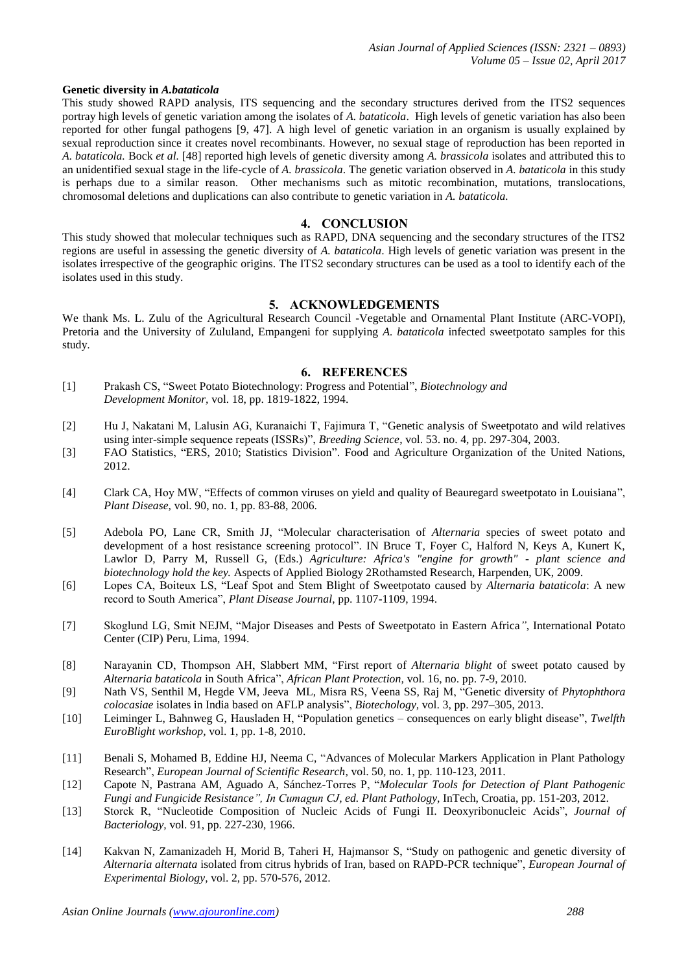#### **Genetic diversity in** *A.bataticola*

This study showed RAPD analysis, ITS sequencing and the secondary structures derived from the ITS2 sequences portray high levels of genetic variation among the isolates of *A. bataticola*. High levels of genetic variation has also been reported for other fungal pathogens [9, 47]. A high level of genetic variation in an organism is usually explained by sexual reproduction since it creates novel recombinants. However, no sexual stage of reproduction has been reported in *A. bataticola.* Bock *et al.* [48] reported high levels of genetic diversity among *A. brassicola* isolates and attributed this to an unidentified sexual stage in the life-cycle of *A. brassicola*. The genetic variation observed in *A. bataticola* in this study is perhaps due to a similar reason. Other mechanisms such as mitotic recombination, mutations, translocations, chromosomal deletions and duplications can also contribute to genetic variation in *A. bataticola.* 

#### **4. CONCLUSION**

This study showed that molecular techniques such as RAPD, DNA sequencing and the secondary structures of the ITS2 regions are useful in assessing the genetic diversity of *A. bataticola*. High levels of genetic variation was present in the isolates irrespective of the geographic origins. The ITS2 secondary structures can be used as a tool to identify each of the isolates used in this study.

#### **5. ACKNOWLEDGEMENTS**

We thank Ms. L. Zulu of the Agricultural Research Council -Vegetable and Ornamental Plant Institute (ARC-VOPI), Pretoria and the University of Zululand, Empangeni for supplying *A. bataticola* infected sweetpotato samples for this study.

#### **6. REFERENCES**

- [1] Prakash CS, "Sweet Potato Biotechnology: Progress and Potential", *Biotechnology and Development Monitor,* vol. 18, pp. 1819-1822, 1994.
- [2] Hu J, Nakatani M, Lalusin AG, Kuranaichi T, Fajimura T, "Genetic analysis of Sweetpotato and wild relatives using inter-simple sequence repeats (ISSRs)", *Breeding Science*, vol. 53. no. 4, pp. 297-304, 2003.
- [3] FAO Statistics, "ERS, 2010; Statistics Division". Food and Agriculture Organization of the United Nations, 2012.
- [4] Clark CA, Hoy MW, "Effects of common viruses on yield and quality of Beauregard sweetpotato in Louisiana", *Plant Disease,* vol. 90, no. 1, pp. 83-88, 2006.
- [5] Adebola PO, Lane CR, Smith JJ, "Molecular characterisation of *Alternaria* species of sweet potato and development of a host resistance screening protocol". IN Bruce T, Foyer C, Halford N, Keys A, Kunert K, Lawlor D, Parry M, Russell G, (Eds.) *Agriculture: Africa's "engine for growth" - plant science and biotechnology hold the key.* Aspects of Applied Biology 2Rothamsted Research, Harpenden, UK, 2009.
- [6] Lopes CA, Boiteux LS, "Leaf Spot and Stem Blight of Sweetpotato caused by *Alternaria bataticola*: A new record to South America", *Plant Disease Journal*, pp. 1107-1109, 1994.
- [7] Skoglund LG, Smit NEJM, "Major Diseases and Pests of Sweetpotato in Eastern Africa*"*, International Potato Center (CIP) Peru, Lima, 1994.
- [8] Narayanin CD, Thompson AH, Slabbert MM, "First report of *Alternaria blight* of sweet potato caused by *Alternaria bataticola* in South Africa", *African Plant Protection,* vol. 16, no. pp. 7-9, 2010.
- [9] Nath VS, Senthil M, Hegde VM, Jeeva ML, Misra RS, Veena SS, Raj M, "Genetic diversity of *Phytophthora colocasiae* isolates in India based on AFLP analysis", *Biotechology,* vol. 3, pp. 297–305, 2013.
- [10] Leiminger L, Bahnweg G, Hausladen H, "Population genetics consequences on early blight disease", *Twelfth EuroBlight workshop,* vol. 1, pp. 1-8, 2010.
- [11] Benali S, Mohamed B, Eddine HJ, Neema C, "Advances of Molecular Markers Application in Plant Pathology Research", *European Journal of Scientific Research,* vol. 50, no. 1, pp. 110-123, 2011.
- [12] Capote N, Pastrana AM, Aguado A, Sánchez-Torres P, "*Molecular Tools for Detection of Plant Pathogenic Fungi and Fungicide Resistance", In Cumagun CJ, ed. Plant Pathology*, InTech, Croatia, pp. 151-203, 2012.
- [13] Storck R, "Nucleotide Composition of Nucleic Acids of Fungi II. Deoxyribonucleic Acids", *Journal of Bacteriology,* vol. 91, pp. 227-230, 1966.
- [14] Kakvan N, Zamanizadeh H, Morid B, Taheri H, Hajmansor S, "Study on pathogenic and genetic diversity of *Alternaria alternata* isolated from citrus hybrids of Iran, based on RAPD-PCR technique", *European Journal of Experimental Biology,* vol. 2, pp. 570-576, 2012.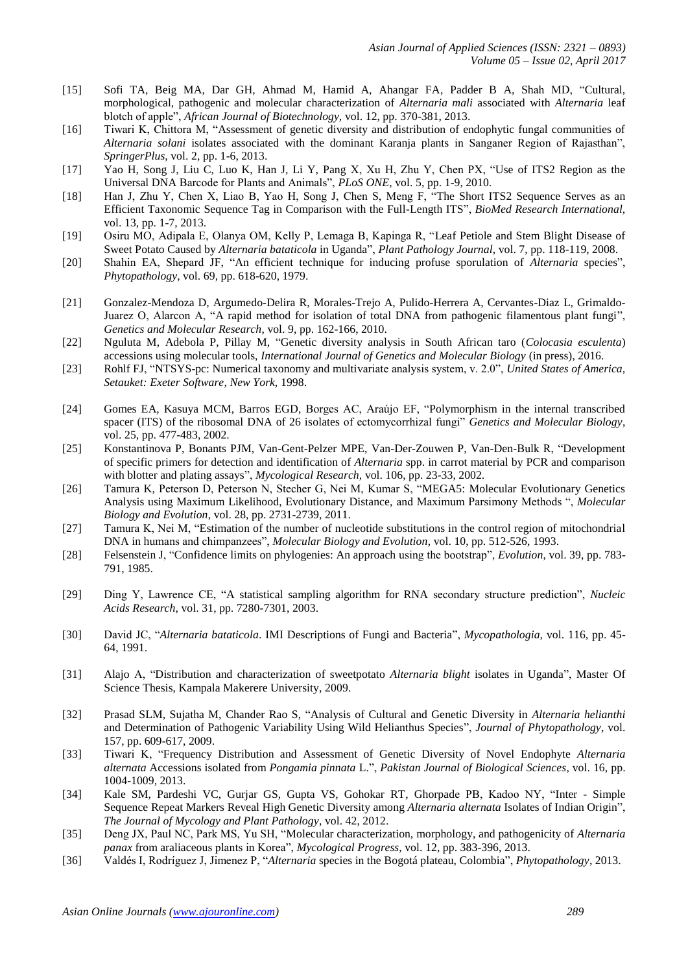- [15] Sofi TA, Beig MA, Dar GH, Ahmad M, Hamid A, Ahangar FA, Padder B A, Shah MD, "Cultural, morphological, pathogenic and molecular characterization of *Alternaria mali* associated with *Alternaria* leaf blotch of apple", *African Journal of Biotechnology,* vol. 12, pp. 370-381, 2013.
- [16] Tiwari K, Chittora M, "Assessment of genetic diversity and distribution of endophytic fungal communities of *Alternaria solani* isolates associated with the dominant Karanja plants in Sanganer Region of Rajasthan", *SpringerPlus,* vol. 2, pp. 1-6, 2013.
- [17] Yao H, Song J, Liu C, Luo K, Han J, Li Y, Pang X, Xu H, Zhu Y, Chen PX, "Use of ITS2 Region as the Universal DNA Barcode for Plants and Animals", *PLoS ONE*, vol. 5, pp. 1-9, 2010.
- [18] Han J, Zhu Y, Chen X, Liao B, Yao H, Song J, Chen S, Meng F, "The Short ITS2 Sequence Serves as an Efficient Taxonomic Sequence Tag in Comparison with the Full-Length ITS", *BioMed Research International,* vol. 13, pp. 1-7, 2013.
- [19] Osiru MO, Adipala E, Olanya OM, Kelly P, Lemaga B, Kapinga R, "Leaf Petiole and Stem Blight Disease of Sweet Potato Caused by *Alternaria bataticola* in Uganda", *Plant Pathology Journal*, vol. 7, pp. 118-119, 2008.
- [20] Shahin EA, Shepard JF, "An efficient technique for inducing profuse sporulation of *Alternaria* species", *Phytopathology*, vol. 69, pp. 618-620, 1979.
- [21] Gonzalez-Mendoza D, Argumedo-Delira R, Morales-Trejo A, Pulido-Herrera A, Cervantes-Diaz L, Grimaldo-Juarez O, Alarcon A, "A rapid method for isolation of total DNA from pathogenic filamentous plant fungi", *Genetics and Molecular Research*, vol. 9, pp. 162-166, 2010.
- [22] Nguluta M, Adebola P, Pillay M, "Genetic diversity analysis in South African taro (*Colocasia esculenta*) accessions using molecular tools, *International Journal of Genetics and Molecular Biology* (in press), 2016.
- [23] Rohlf FJ, "NTSYS-pc: Numerical taxonomy and multivariate analysis system, v. 2.0", *United States of America, Setauket: Exeter Software, New York,* 1998.
- [24] Gomes EA, Kasuya MCM, Barros EGD, Borges AC, Araújo EF, "Polymorphism in the internal transcribed spacer (ITS) of the ribosomal DNA of 26 isolates of ectomycorrhizal fungi" *Genetics and Molecular Biology*, vol. 25, pp. 477-483, 2002.
- [25] Konstantinova P, Bonants PJM, Van-Gent-Pelzer MPE, Van-Der-Zouwen P, Van-Den-Bulk R, "Development of specific primers for detection and identification of *Alternaria* spp. in carrot material by PCR and comparison with blotter and plating assays", *Mycological Research,* vol. 106, pp. 23-33, 2002.
- [26] Tamura K, Peterson D, Peterson N, Stecher G, Nei M, Kumar S, "MEGA5: Molecular Evolutionary Genetics Analysis using Maximum Likelihood, Evolutionary Distance, and Maximum Parsimony Methods ", *Molecular Biology and Evolution*, vol. 28, pp. 2731-2739, 2011.
- [27] Tamura K, Nei M, "Estimation of the number of nucleotide substitutions in the control region of mitochondrial DNA in humans and chimpanzees", *Molecular Biology and Evolution*, vol. 10, pp. 512-526, 1993.
- [28] Felsenstein J, "Confidence limits on phylogenies: An approach using the bootstrap", *Evolution*, vol. 39, pp. 783- 791, 1985.
- [29] Ding Y, Lawrence CE, "A statistical sampling algorithm for RNA secondary structure prediction", *Nucleic Acids Research*, vol. 31, pp. 7280-7301, 2003.
- [30] David JC, "*Alternaria bataticola*. IMI Descriptions of Fungi and Bacteria", *Mycopathologia,* vol. 116, pp. 45- 64, 1991.
- [31] Alajo A, "Distribution and characterization of sweetpotato *Alternaria blight* isolates in Uganda", Master Of Science Thesis, Kampala Makerere University, 2009.
- [32] Prasad SLM, Sujatha M, Chander Rao S, "Analysis of Cultural and Genetic Diversity in *Alternaria helianthi* and Determination of Pathogenic Variability Using Wild Helianthus Species", *Journal of Phytopathology*, vol. 157, pp. 609-617, 2009.
- [33] Tiwari K, "Frequency Distribution and Assessment of Genetic Diversity of Novel Endophyte *Alternaria alternata* Accessions isolated from *Pongamia pinnata* L.", *Pakistan Journal of Biological Sciences*, vol. 16, pp. 1004-1009, 2013.
- [34] Kale SM, Pardeshi VC, Gurjar GS, Gupta VS, Gohokar RT, Ghorpade PB, Kadoo NY, "Inter Simple Sequence Repeat Markers Reveal High Genetic Diversity among *Alternaria alternata* Isolates of Indian Origin", *The Journal of Mycology and Plant Pathology*, vol. 42, 2012.
- [35] Deng JX, Paul NC, Park MS, Yu SH, "Molecular characterization, morphology, and pathogenicity of *Alternaria panax* from araliaceous plants in Korea", *Mycological Progress,* vol. 12, pp. 383-396, 2013.
- [36] Valdés I, Rodríguez J, Jimenez P, "*Alternaria* species in the Bogotá plateau, Colombia", *Phytopathology*, 2013.